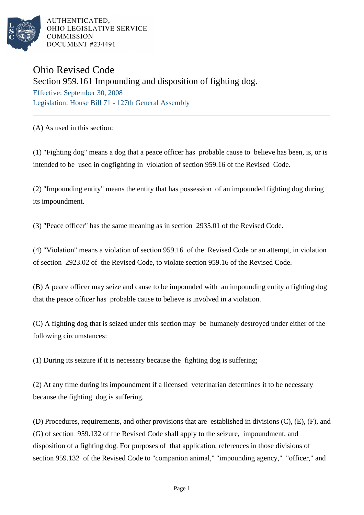

AUTHENTICATED. OHIO LEGISLATIVE SERVICE **COMMISSION DOCUMENT #234491** 

## Ohio Revised Code Section 959.161 Impounding and disposition of fighting dog. Effective: September 30, 2008 Legislation: House Bill 71 - 127th General Assembly

(A) As used in this section:

(1) "Fighting dog" means a dog that a peace officer has probable cause to believe has been, is, or is intended to be used in dogfighting in violation of section 959.16 of the Revised Code.

(2) "Impounding entity" means the entity that has possession of an impounded fighting dog during its impoundment.

(3) "Peace officer" has the same meaning as in section 2935.01 of the Revised Code.

(4) "Violation" means a violation of section 959.16 of the Revised Code or an attempt, in violation of section 2923.02 of the Revised Code, to violate section 959.16 of the Revised Code.

(B) A peace officer may seize and cause to be impounded with an impounding entity a fighting dog that the peace officer has probable cause to believe is involved in a violation.

(C) A fighting dog that is seized under this section may be humanely destroyed under either of the following circumstances:

(1) During its seizure if it is necessary because the fighting dog is suffering;

(2) At any time during its impoundment if a licensed veterinarian determines it to be necessary because the fighting dog is suffering.

(D) Procedures, requirements, and other provisions that are established in divisions (C), (E), (F), and (G) of section 959.132 of the Revised Code shall apply to the seizure, impoundment, and disposition of a fighting dog. For purposes of that application, references in those divisions of section 959.132 of the Revised Code to "companion animal," "impounding agency," "officer," and